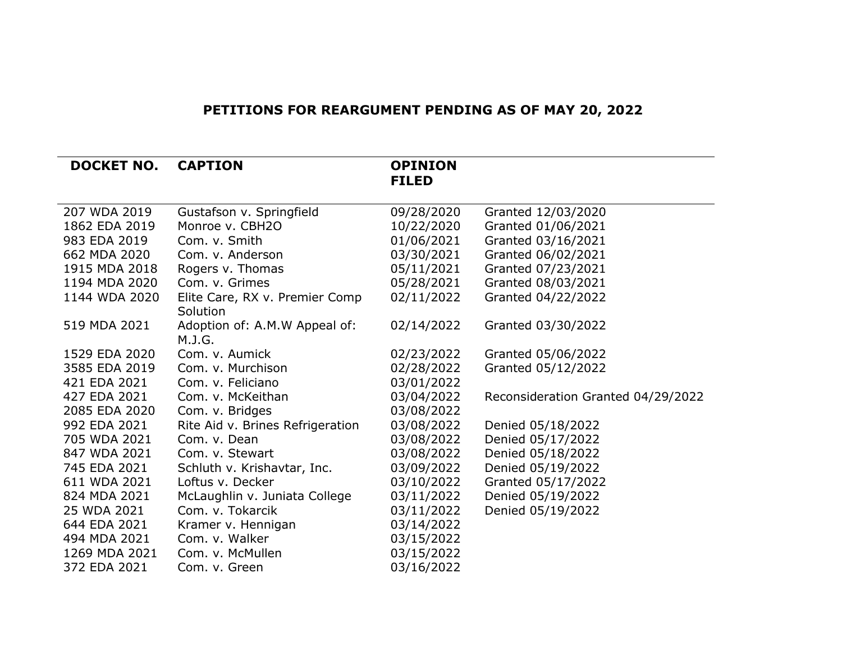## **PETITIONS FOR REARGUMENT PENDING AS OF MAY 20, 2022**

| <b>DOCKET NO.</b> | <b>CAPTION</b>                   | <b>OPINION</b> |                                    |
|-------------------|----------------------------------|----------------|------------------------------------|
|                   |                                  | <b>FILED</b>   |                                    |
| 207 WDA 2019      | Gustafson v. Springfield         | 09/28/2020     | Granted 12/03/2020                 |
| 1862 EDA 2019     | Monroe v. CBH2O                  | 10/22/2020     | Granted 01/06/2021                 |
| 983 EDA 2019      | Com. v. Smith                    | 01/06/2021     | Granted 03/16/2021                 |
| 662 MDA 2020      | Com. v. Anderson                 | 03/30/2021     | Granted 06/02/2021                 |
| 1915 MDA 2018     | Rogers v. Thomas                 | 05/11/2021     | Granted 07/23/2021                 |
| 1194 MDA 2020     | Com. v. Grimes                   | 05/28/2021     | Granted 08/03/2021                 |
| 1144 WDA 2020     | Elite Care, RX v. Premier Comp   | 02/11/2022     | Granted 04/22/2022                 |
|                   | Solution                         |                |                                    |
| 519 MDA 2021      | Adoption of: A.M.W Appeal of:    | 02/14/2022     | Granted 03/30/2022                 |
|                   | M.J.G.                           |                |                                    |
| 1529 EDA 2020     | Com. v. Aumick                   | 02/23/2022     | Granted 05/06/2022                 |
| 3585 EDA 2019     | Com. v. Murchison                | 02/28/2022     | Granted 05/12/2022                 |
| 421 EDA 2021      | Com. v. Feliciano                | 03/01/2022     |                                    |
| 427 EDA 2021      | Com. v. McKeithan                | 03/04/2022     | Reconsideration Granted 04/29/2022 |
| 2085 EDA 2020     | Com. v. Bridges                  | 03/08/2022     |                                    |
| 992 EDA 2021      | Rite Aid v. Brines Refrigeration | 03/08/2022     | Denied 05/18/2022                  |
| 705 WDA 2021      | Com. v. Dean                     | 03/08/2022     | Denied 05/17/2022                  |
| 847 WDA 2021      | Com. v. Stewart                  | 03/08/2022     | Denied 05/18/2022                  |
| 745 EDA 2021      | Schluth v. Krishavtar, Inc.      | 03/09/2022     | Denied 05/19/2022                  |
| 611 WDA 2021      | Loftus v. Decker                 | 03/10/2022     | Granted 05/17/2022                 |
| 824 MDA 2021      | McLaughlin v. Juniata College    | 03/11/2022     | Denied 05/19/2022                  |
| 25 WDA 2021       | Com. v. Tokarcik                 | 03/11/2022     | Denied 05/19/2022                  |
| 644 EDA 2021      | Kramer v. Hennigan               | 03/14/2022     |                                    |
| 494 MDA 2021      | Com. v. Walker                   | 03/15/2022     |                                    |
| 1269 MDA 2021     | Com. v. McMullen                 | 03/15/2022     |                                    |
| 372 EDA 2021      | Com. v. Green                    | 03/16/2022     |                                    |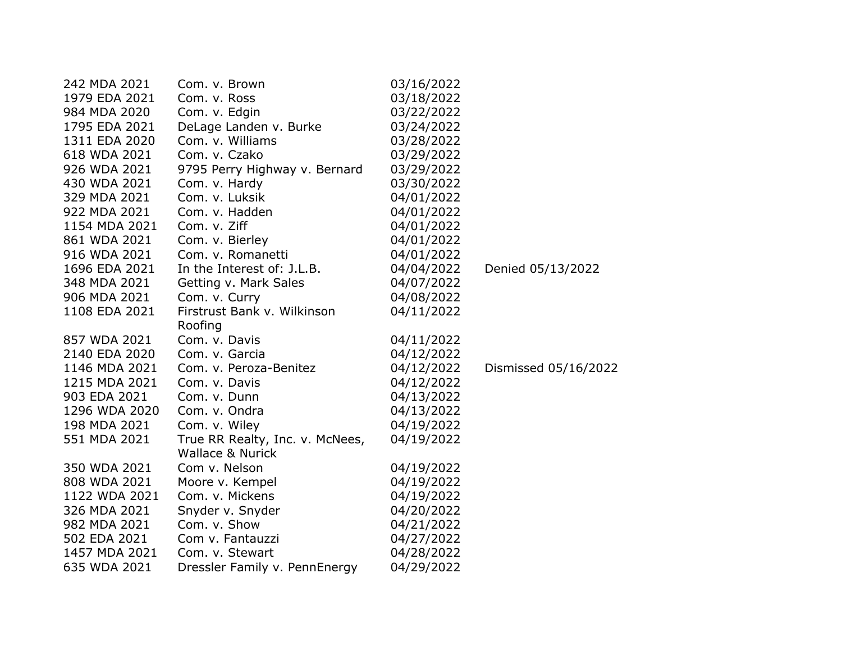| 242 MDA 2021  | Com. v. Brown                   | 03/16/2022 |                      |
|---------------|---------------------------------|------------|----------------------|
| 1979 EDA 2021 | Com. v. Ross                    | 03/18/2022 |                      |
| 984 MDA 2020  | Com. v. Edgin                   | 03/22/2022 |                      |
| 1795 EDA 2021 | DeLage Landen v. Burke          | 03/24/2022 |                      |
| 1311 EDA 2020 | Com. v. Williams                | 03/28/2022 |                      |
| 618 WDA 2021  | Com. v. Czako                   | 03/29/2022 |                      |
| 926 WDA 2021  | 9795 Perry Highway v. Bernard   | 03/29/2022 |                      |
| 430 WDA 2021  | Com. v. Hardy                   | 03/30/2022 |                      |
| 329 MDA 2021  | Com. v. Luksik                  | 04/01/2022 |                      |
| 922 MDA 2021  | Com. v. Hadden                  | 04/01/2022 |                      |
| 1154 MDA 2021 | Com. v. Ziff                    | 04/01/2022 |                      |
| 861 WDA 2021  | Com. v. Bierley                 | 04/01/2022 |                      |
| 916 WDA 2021  | Com. v. Romanetti               | 04/01/2022 |                      |
| 1696 EDA 2021 | In the Interest of: J.L.B.      | 04/04/2022 | Denied 05/13/2022    |
| 348 MDA 2021  | Getting v. Mark Sales           | 04/07/2022 |                      |
| 906 MDA 2021  | Com. v. Curry                   | 04/08/2022 |                      |
| 1108 EDA 2021 | Firstrust Bank v. Wilkinson     | 04/11/2022 |                      |
|               | Roofing                         |            |                      |
| 857 WDA 2021  | Com. v. Davis                   | 04/11/2022 |                      |
| 2140 EDA 2020 | Com. v. Garcia                  | 04/12/2022 |                      |
| 1146 MDA 2021 | Com. v. Peroza-Benitez          | 04/12/2022 | Dismissed 05/16/2022 |
| 1215 MDA 2021 | Com. v. Davis                   | 04/12/2022 |                      |
| 903 EDA 2021  | Com. v. Dunn                    | 04/13/2022 |                      |
| 1296 WDA 2020 | Com. v. Ondra                   | 04/13/2022 |                      |
| 198 MDA 2021  | Com. v. Wiley                   | 04/19/2022 |                      |
| 551 MDA 2021  | True RR Realty, Inc. v. McNees, | 04/19/2022 |                      |
|               | <b>Wallace &amp; Nurick</b>     |            |                      |
| 350 WDA 2021  | Com v. Nelson                   | 04/19/2022 |                      |
| 808 WDA 2021  | Moore v. Kempel                 | 04/19/2022 |                      |
| 1122 WDA 2021 | Com. v. Mickens                 | 04/19/2022 |                      |
| 326 MDA 2021  | Snyder v. Snyder                | 04/20/2022 |                      |
| 982 MDA 2021  | Com. v. Show                    | 04/21/2022 |                      |
| 502 EDA 2021  | Com v. Fantauzzi                | 04/27/2022 |                      |
| 1457 MDA 2021 | Com. v. Stewart                 | 04/28/2022 |                      |
| 635 WDA 2021  | Dressler Family v. PennEnergy   | 04/29/2022 |                      |